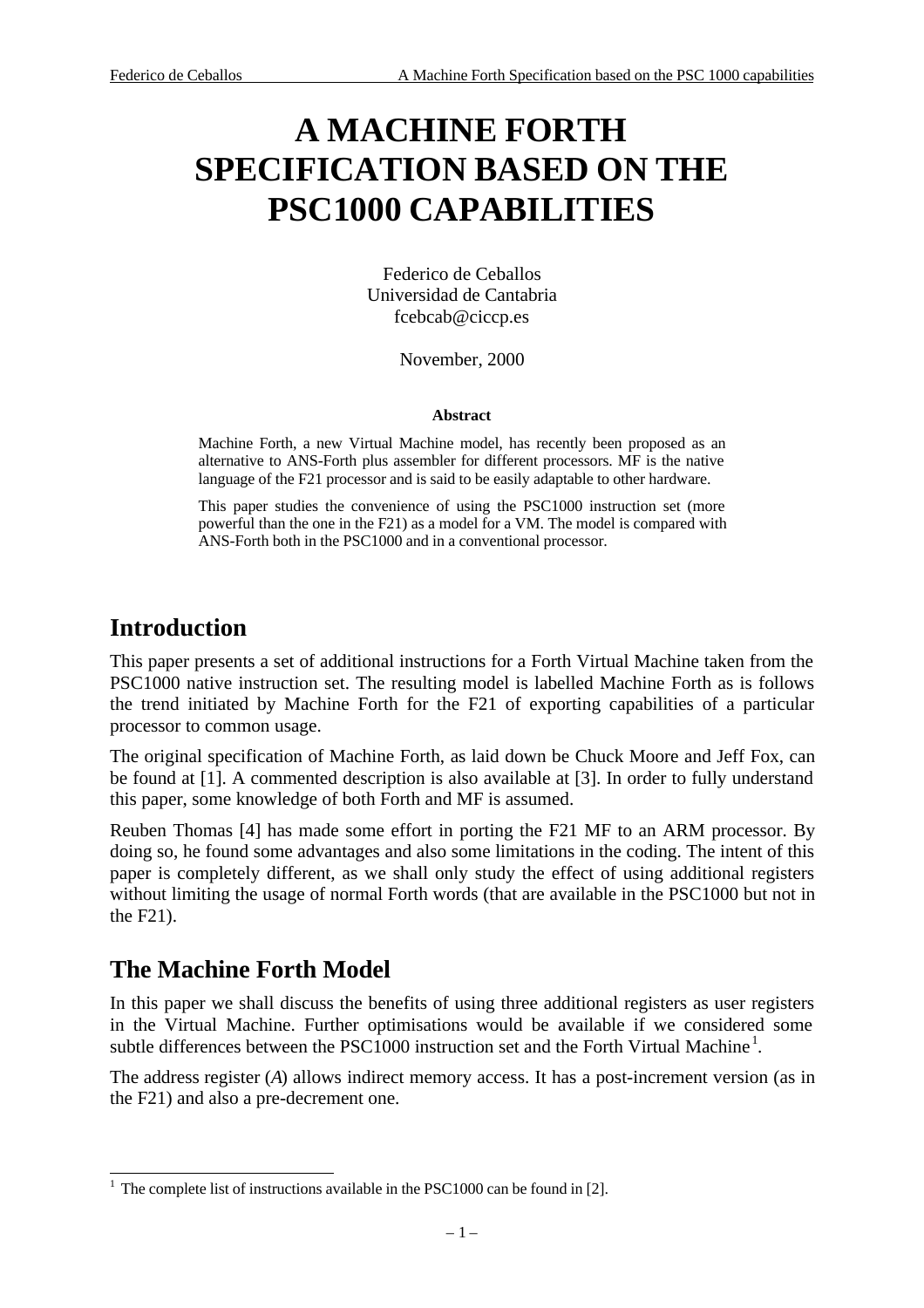# **A MACHINE FORTH SPECIFICATION BASED ON THE PSC1000 CAPABILITIES**

Federico de Ceballos Universidad de Cantabria fcebcab@ciccp.es

November, 2000

#### **Abstract**

Machine Forth, a new Virtual Machine model, has recently been proposed as an alternative to ANS-Forth plus assembler for different processors. MF is the native language of the F21 processor and is said to be easily adaptable to other hardware.

This paper studies the convenience of using the PSC1000 instruction set (more powerful than the one in the F21) as a model for a VM. The model is compared with ANS-Forth both in the PSC1000 and in a conventional processor.

## **Introduction**

This paper presents a set of additional instructions for a Forth Virtual Machine taken from the PSC1000 native instruction set. The resulting model is labelled Machine Forth as is follows the trend initiated by Machine Forth for the F21 of exporting capabilities of a particular processor to common usage.

The original specification of Machine Forth, as laid down be Chuck Moore and Jeff Fox, can be found at [1]. A commented description is also available at [3]. In order to fully understand this paper, some knowledge of both Forth and MF is assumed.

Reuben Thomas [4] has made some effort in porting the F21 MF to an ARM processor. By doing so, he found some advantages and also some limitations in the coding. The intent of this paper is completely different, as we shall only study the effect of using additional registers without limiting the usage of normal Forth words (that are available in the PSC1000 but not in the F21).

# **The Machine Forth Model**

In this paper we shall discuss the benefits of using three additional registers as user registers in the Virtual Machine. Further optimisations would be available if we considered some subtle differences between the PSC1000 instruction set and the Forth Virtual Machine<sup>1</sup>.

The address register (*A*) allows indirect memory access. It has a post-increment version (as in the F21) and also a pre-decrement one.

<sup>&</sup>lt;sup>1</sup> The complete list of instructions available in the PSC1000 can be found in [2].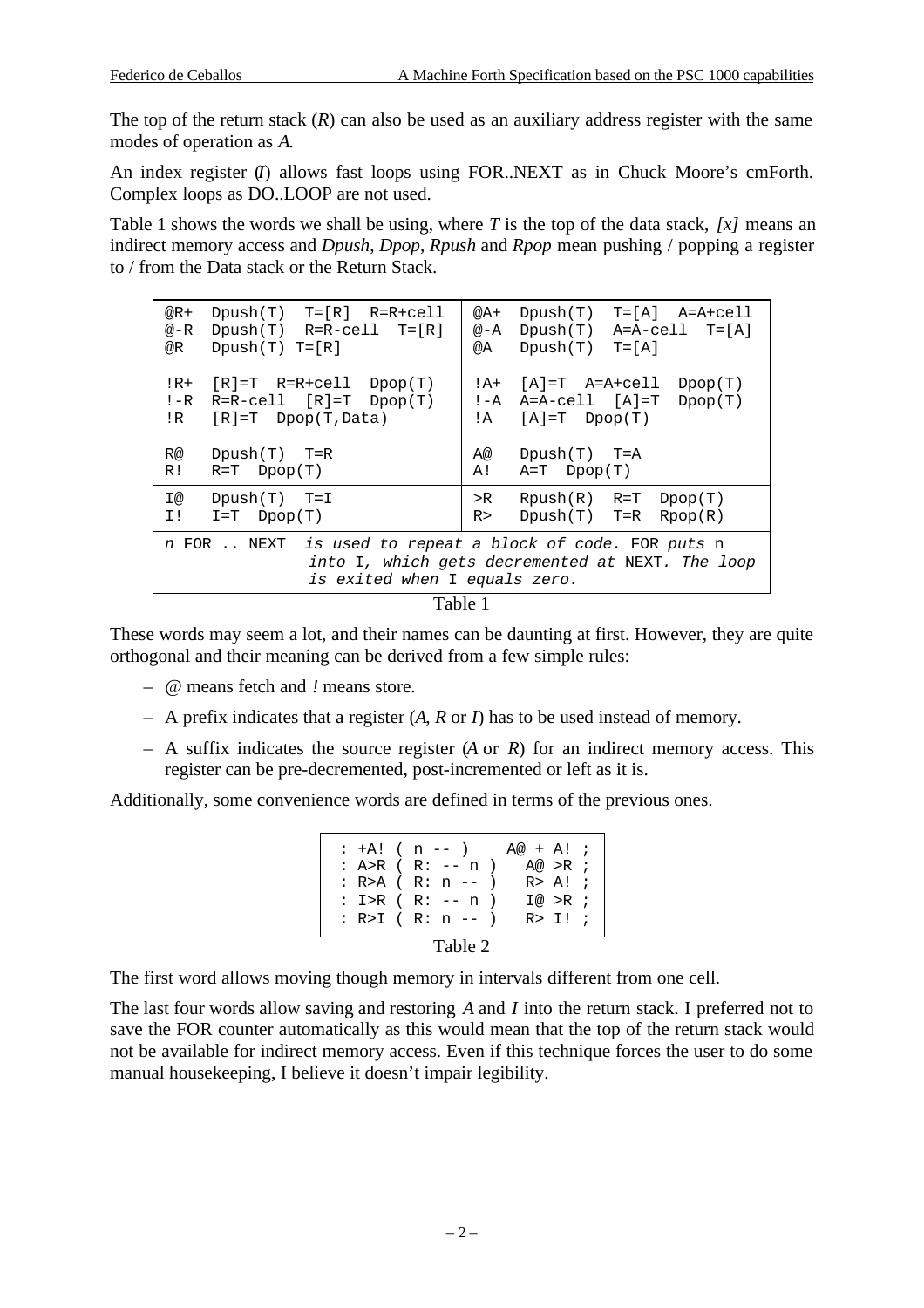The top of the return stack  $(R)$  can also be used as an auxiliary address register with the same modes of operation as *A*.

An index register (*I*) allows fast loops using FOR..NEXT as in Chuck Moore's cmForth. Complex loops as DO..LOOP are not used.

Table 1 shows the words we shall be using, where *T* is the top of the data stack, *[x]* means an indirect memory access and *Dpush*, *Dpop*, *Rpush* and *Rpop* mean pushing / popping a register to / from the Data stack or the Return Stack.

| $Dpush(T)$ $T=[R]$ $R=R+cell$<br>$@R+$<br>$Dpush(T)$ R=R-cell T= $[R]$<br>@-R<br>$Dpush(T)$ $T=[R]$<br>@R                                         | $T = [A]$ $A = A + c e 11$<br>Dpush(T)<br>@A+<br>$Dpush(T)$ A=A-cell T=[A]<br>@−A<br>$T = [A]$<br>Dpush(T)<br>@A |  |  |  |
|---------------------------------------------------------------------------------------------------------------------------------------------------|------------------------------------------------------------------------------------------------------------------|--|--|--|
| $!R+$<br>$[R]=T$ $R=R+cell$ $Dpop(T)$<br>$R=R-cell$ $[R]=T$ $Dpop(T)$<br>$! - R$<br>$[R]=T$ Dpop(T, Data)<br>!R                                   | [A]=T A=A+cell<br>Dpop(T)<br>! A+<br>$A=A-cell$ $[A]=T$ $Dpop(T)$<br>! -A<br>$[A]=T \quad Dpop(T)$<br>!A         |  |  |  |
| R@<br>$Dpush(T)$ T=R<br>R!<br>$R=T \quad Dpop(T)$                                                                                                 | $Dpush(T)$ T=A<br>A@<br>$A=T$ Dpop $(T)$<br>A!                                                                   |  |  |  |
| I@<br>$Dpush(T)$ T=I<br>$I = T$ Dpop $(T)$<br>I!                                                                                                  | $Rpush(R)$ $R=T$ $Dpop(T)$<br>$>$ R<br>$Dpush(T)$ T=R<br>Rpop(R)<br>R>                                           |  |  |  |
| is used to repeat a block of code. FOR puts n<br>n FOR  NEXT<br>into I, which gets decremented at NEXT. The loop<br>is exited when I equals zero. |                                                                                                                  |  |  |  |

#### Table 1

These words may seem a lot, and their names can be daunting at first. However, they are quite orthogonal and their meaning can be derived from a few simple rules:

- *@* means fetch and *!* means store.
- A prefix indicates that a register (*A*, *R* or *I*) has to be used instead of memory.
- A suffix indicates the source register (*A* or *R*) for an indirect memory access. This register can be pre-decremented, post-incremented or left as it is.

Additionally, some convenience words are defined in terms of the previous ones.

:  $+A!$  ( n -- ) A@ + A! ; : A>R ( R: -- n ) A@ >R ;<br>: R>A ( R: n -- ) R> A! ; :  $R > A$  (  $R: n --$  ) : I>R ( R: -- n ) I@ >R ; : R>I ( R: n -- ) R> I! ; Table 2

The first word allows moving though memory in intervals different from one cell.

The last four words allow saving and restoring *A* and *I* into the return stack. I preferred not to save the FOR counter automatically as this would mean that the top of the return stack would not be available for indirect memory access. Even if this technique forces the user to do some manual housekeeping, I believe it doesn't impair legibility.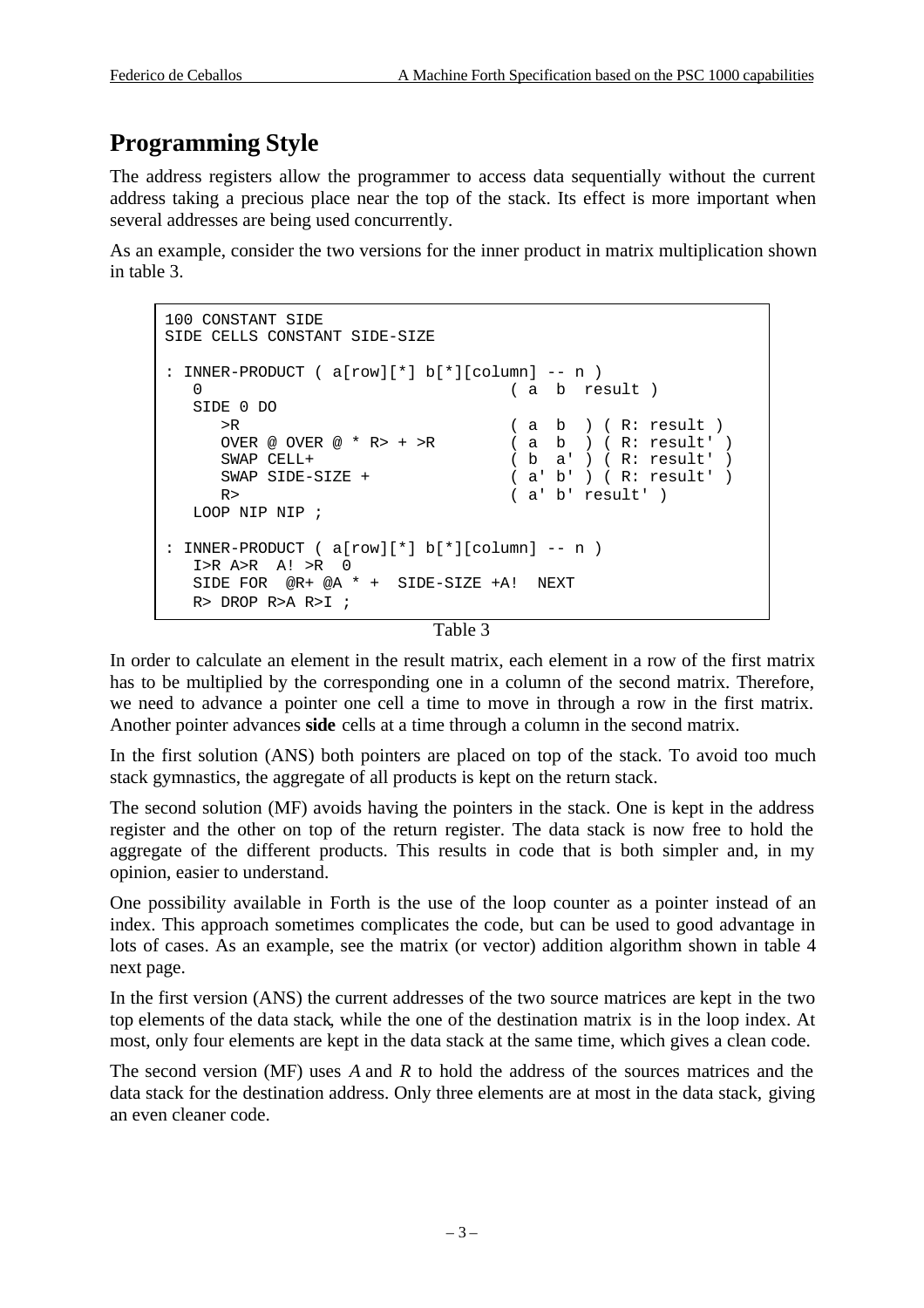# **Programming Style**

The address registers allow the programmer to access data sequentially without the current address taking a precious place near the top of the stack. Its effect is more important when several addresses are being used concurrently.

As an example, consider the two versions for the inner product in matrix multiplication shown in table 3.

```
100 CONSTANT SIDE
SIDE CELLS CONSTANT SIDE-SIZE
: INNER-PRODUCT ( a[row][*] b[*][column] -- n )
  0 (a b result )
   SIDE 0 DO
    >R (a b ) (R: result )<br>OVER @ OVER @ * R> + >R (a b ) (R: result ')
     OVER @ OVER @ * R> + >R
      SWAP CELL+ ( b a' ) ( R: result' )
      SWAP SIDE-SIZE + ( a' b' ) ( R: result' )
     R> ( a' b' result' )LOOP NIP NIP ;
: INNER-PRODUCT ( a[row][*] b[*][column] -- n )
   I>R A>R A! >R 0
   SIDE FOR @R+ @A * + SIDE-SIZE +A! NEXT
   R> DROP R>A R>I ;
```
Table 3

In order to calculate an element in the result matrix, each element in a row of the first matrix has to be multiplied by the corresponding one in a column of the second matrix. Therefore, we need to advance a pointer one cell a time to move in through a row in the first matrix. Another pointer advances **side** cells at a time through a column in the second matrix.

In the first solution (ANS) both pointers are placed on top of the stack. To avoid too much stack gymnastics, the aggregate of all products is kept on the return stack.

The second solution (MF) avoids having the pointers in the stack. One is kept in the address register and the other on top of the return register. The data stack is now free to hold the aggregate of the different products. This results in code that is both simpler and, in my opinion, easier to understand.

One possibility available in Forth is the use of the loop counter as a pointer instead of an index. This approach sometimes complicates the code, but can be used to good advantage in lots of cases. As an example, see the matrix (or vector) addition algorithm shown in table 4 next page.

In the first version (ANS) the current addresses of the two source matrices are kept in the two top elements of the data stack, while the one of the destination matrix is in the loop index. At most, only four elements are kept in the data stack at the same time, which gives a clean code.

The second version (MF) uses *A* and *R* to hold the address of the sources matrices and the data stack for the destination address. Only three elements are at most in the data stack, giving an even cleaner code.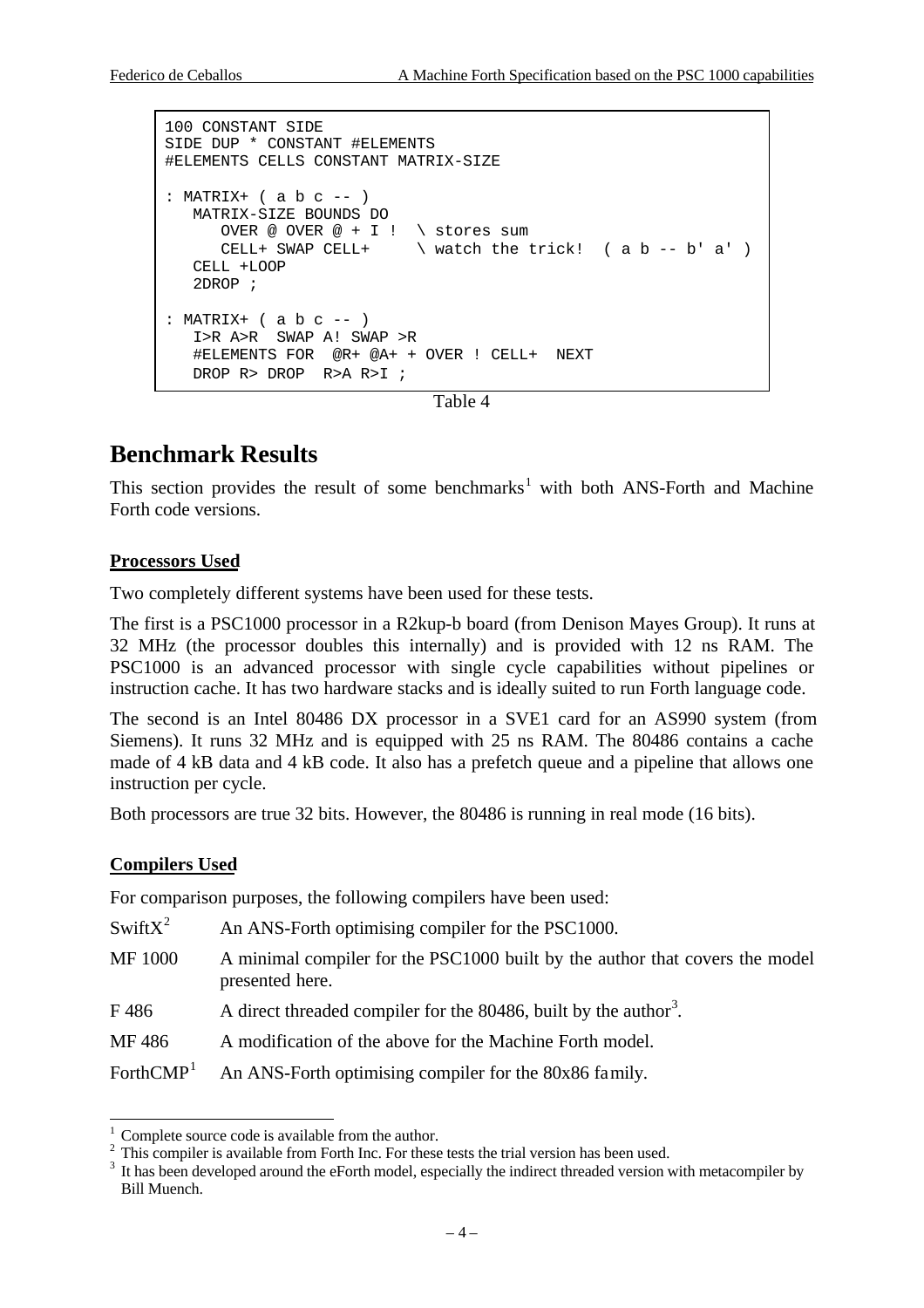```
100 CONSTANT SIDE
SIDE DUP * CONSTANT #ELEMENTS
#ELEMENTS CELLS CONSTANT MATRIX-SIZE
: MATRIX+ (a b c --) MATRIX-SIZE BOUNDS DO
     OVER @ OVER @ + I ! \ stores sum
     CELL+ SWAP CELL+ \forall watch the trick! ( a b -- b' a')
   CELL +LOOP
    2DROP ;
: MATRIX+ (a b c --) I>R A>R SWAP A! SWAP >R
    #ELEMENTS FOR @R+ @A+ + OVER ! CELL+ NEXT
   DROP R> DROP R>A R>I ;
```

```
Table 4
```
## **Benchmark Results**

This section provides the result of some benchmarks<sup>1</sup> with both ANS-Forth and Machine Forth code versions.

#### **Processors Used**

Two completely different systems have been used for these tests.

The first is a PSC1000 processor in a R2kup-b board (from Denison Mayes Group). It runs at 32 MHz (the processor doubles this internally) and is provided with 12 ns RAM. The PSC1000 is an advanced processor with single cycle capabilities without pipelines or instruction cache. It has two hardware stacks and is ideally suited to run Forth language code.

The second is an Intel 80486 DX processor in a SVE1 card for an AS990 system (from Siemens). It runs 32 MHz and is equipped with 25 ns RAM. The 80486 contains a cache made of 4 kB data and 4 kB code. It also has a prefetch queue and a pipeline that allows one instruction per cycle.

Both processors are true 32 bits. However, the 80486 is running in real mode (16 bits).

#### **Compilers Used**

l

For comparison purposes, the following compilers have been used:

| $SwitX^2$             | An ANS-Forth optimising compiler for the PSC1000.                                               |
|-----------------------|-------------------------------------------------------------------------------------------------|
| <b>MF</b> 1000        | A minimal compiler for the PSC1000 built by the author that covers the model<br>presented here. |
| F486                  | A direct threaded compiler for the 80486, built by the author <sup>3</sup> .                    |
| MF 486                | A modification of the above for the Machine Forth model.                                        |
| ForthCMP <sup>1</sup> | An ANS-Forth optimising compiler for the 80x86 family.                                          |

Complete source code is available from the author.

<sup>2</sup> This compiler is available from Forth Inc. For these tests the trial version has been used.

<sup>3</sup> It has been developed around the eForth model, especially the indirect threaded version with metacompiler by Bill Muench.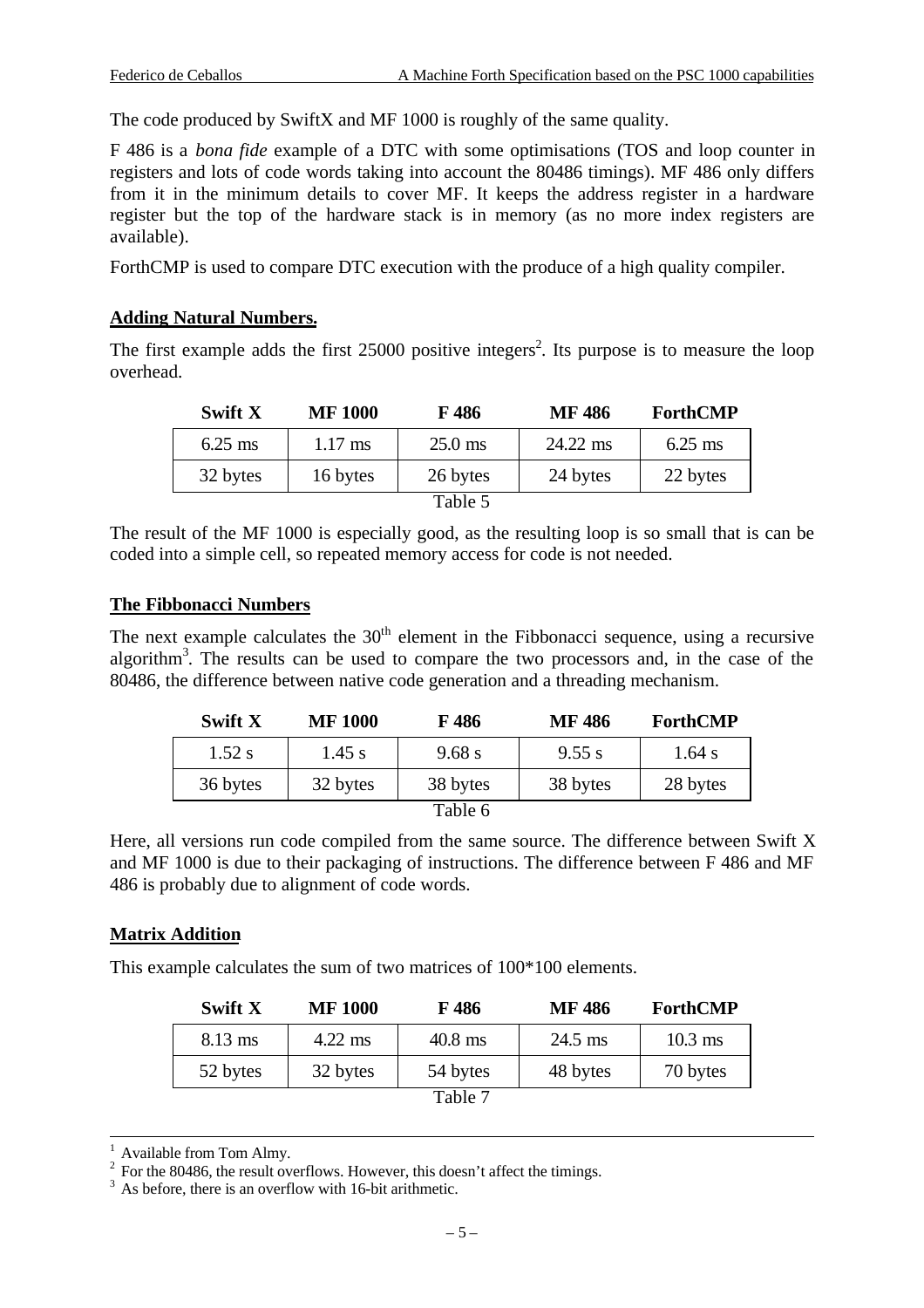The code produced by SwiftX and MF 1000 is roughly of the same quality.

F 486 is a *bona fide* example of a DTC with some optimisations (TOS and loop counter in registers and lots of code words taking into account the 80486 timings). MF 486 only differs from it in the minimum details to cover MF. It keeps the address register in a hardware register but the top of the hardware stack is in memory (as no more index registers are available).

ForthCMP is used to compare DTC execution with the produce of a high quality compiler.

#### **Adding Natural Numbers.**

The first example adds the first  $25000$  positive integers<sup>2</sup>. Its purpose is to measure the loop overhead.

| Swift X   | <b>MF 1000</b> | F 486             | MF 486   | ForthCMP  |
|-----------|----------------|-------------------|----------|-----------|
| $6.25$ ms | $1.17$ ms      | $25.0 \text{ ms}$ | 24.22 ms | $6.25$ ms |
| 32 bytes  | 16 bytes       | 26 bytes          | 24 bytes | 22 bytes  |
|           |                | Table 5           |          |           |

The result of the MF 1000 is especially good, as the resulting loop is so small that is can be coded into a simple cell, so repeated memory access for code is not needed.

#### **The Fibbonacci Numbers**

The next example calculates the  $30<sup>th</sup>$  element in the Fibbonacci sequence, using a recursive algorithm<sup>3</sup>. The results can be used to compare the two processors and, in the case of the 80486, the difference between native code generation and a threading mechanism.

| Swift X  | <b>MF 1000</b> | F 486    | MF 486   | <b>ForthCMP</b> |
|----------|----------------|----------|----------|-----------------|
| $1.52$ s | $1.45$ s       | 9.68 s   | 9.55 s   | 1.64 s          |
| 36 bytes | 32 bytes       | 38 bytes | 38 bytes | 28 bytes        |
|          |                | Table 6  |          |                 |

Here, all versions run code compiled from the same source. The difference between Swift X and MF 1000 is due to their packaging of instructions. The difference between F 486 and MF 486 is probably due to alignment of code words.

#### **Matrix Addition**

This example calculates the sum of two matrices of 100\*100 elements.

| Swift X   | <b>MF 1000</b> | F 486     | MF 486    | <b>ForthCMP</b> |
|-----------|----------------|-----------|-----------|-----------------|
| $8.13$ ms | $4.22$ ms      | $40.8$ ms | $24.5$ ms | $10.3$ ms       |
| 52 bytes  | 32 bytes       | 54 bytes  | 48 bytes  | 70 bytes        |
|           |                | Table 7   |           |                 |

Available from Tom Almy.

-

 $2^2$  For the 80486, the result overflows. However, this doesn't affect the timings.

 $3\text{ As }$  before, there is an overflow with 16-bit arithmetic.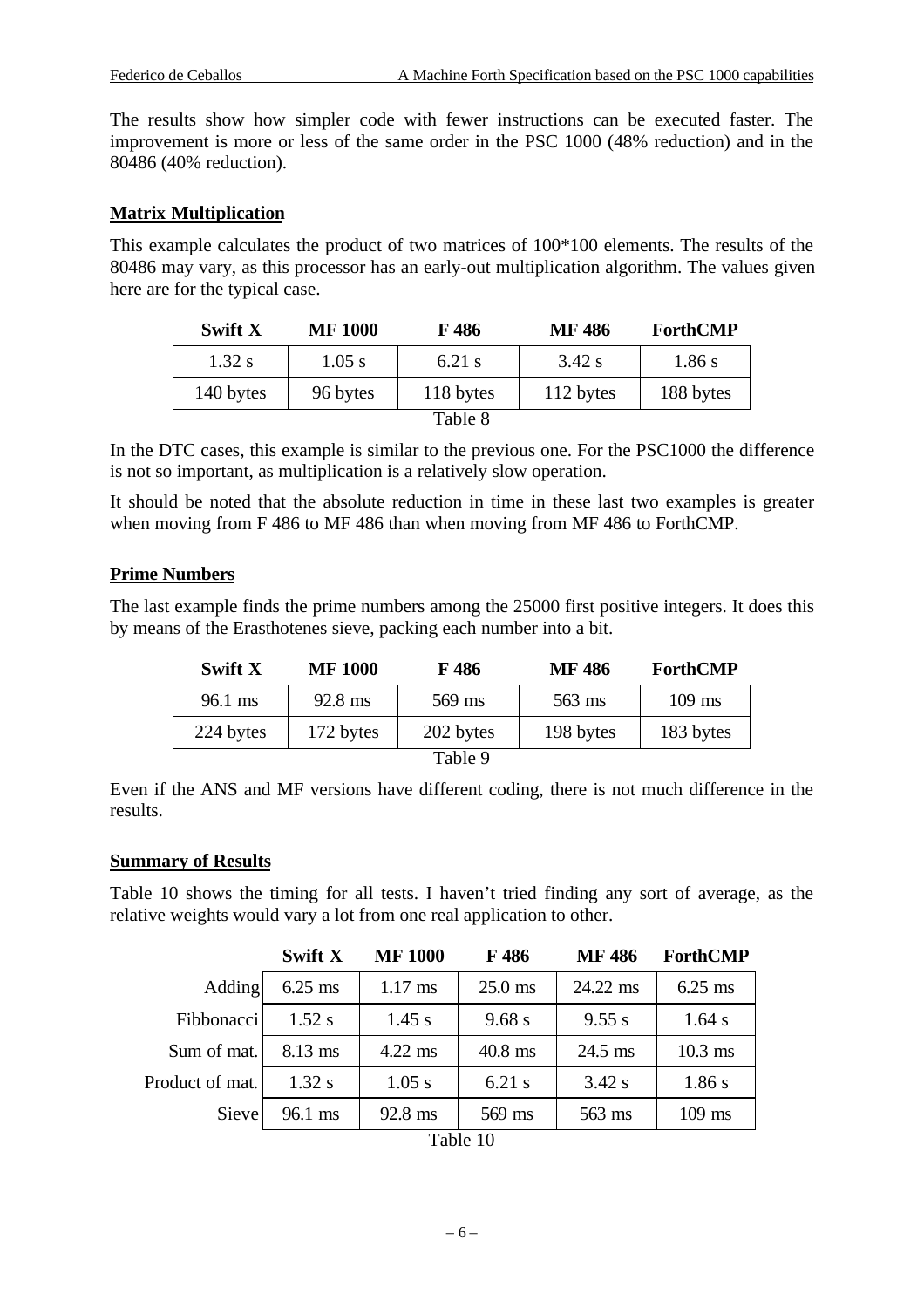The results show how simpler code with fewer instructions can be executed faster. The improvement is more or less of the same order in the PSC 1000 (48% reduction) and in the 80486 (40% reduction).

#### **Matrix Multiplication**

This example calculates the product of two matrices of 100\*100 elements. The results of the 80486 may vary, as this processor has an early-out multiplication algorithm. The values given here are for the typical case.

| Swift X   | <b>MF 1000</b> | F 486     | <b>MF486</b> | <b>ForthCMP</b> |
|-----------|----------------|-----------|--------------|-----------------|
| $1.32$ s  | $1.05$ s       | $6.21$ s  | $3.42$ s     | 1.86 s          |
| 140 bytes | 96 bytes       | 118 bytes | 112 bytes    | 188 bytes       |
|           |                | Table 8   |              |                 |

In the DTC cases, this example is similar to the previous one. For the PSC1000 the difference is not so important, as multiplication is a relatively slow operation.

It should be noted that the absolute reduction in time in these last two examples is greater when moving from F 486 to MF 486 than when moving from MF 486 to ForthCMP.

#### **Prime Numbers**

The last example finds the prime numbers among the 25000 first positive integers. It does this by means of the Erasthotenes sieve, packing each number into a bit.

| <b>Swift X</b>    | <b>MF 1000</b>    | F 486     | <b>MF486</b> | <b>ForthCMP</b> |
|-------------------|-------------------|-----------|--------------|-----------------|
| $96.1 \text{ ms}$ | $92.8 \text{ ms}$ | 569 ms    | $563$ ms     | $109$ ms        |
| 224 bytes         | 172 bytes         | 202 bytes | 198 bytes    | 183 bytes       |
|                   |                   | Table 9   |              |                 |

Even if the ANS and MF versions have different coding, there is not much difference in the results.

#### **Summary of Results**

Table 10 shows the timing for all tests. I haven't tried finding any sort of average, as the relative weights would vary a lot from one real application to other.

|                 | <b>Swift X</b> | <b>MF 1000</b>    | F486      | <b>MF486</b> | <b>ForthCMP</b> |
|-----------------|----------------|-------------------|-----------|--------------|-----------------|
| Adding          | $6.25$ ms      | $1.17 \text{ ms}$ | $25.0$ ms | 24.22 ms     | $6.25$ ms       |
| Fibbonacci      | $1.52$ s       | $1.45$ s          | 9.68 s    | 9.55 s       | $1.64$ s        |
| Sum of mat.     | 8.13 ms        | $4.22$ ms         | $40.8$ ms | $24.5$ ms    | $10.3$ ms       |
| Product of mat. | 1.32 s         | $1.05$ s          | $6.21$ s  | $3.42$ s     | 1.86s           |
| Sieve           | 96.1 ms        | 92.8 ms           | 569 ms    | 563 ms       | $109$ ms        |

| Table 10 |  |
|----------|--|
|----------|--|